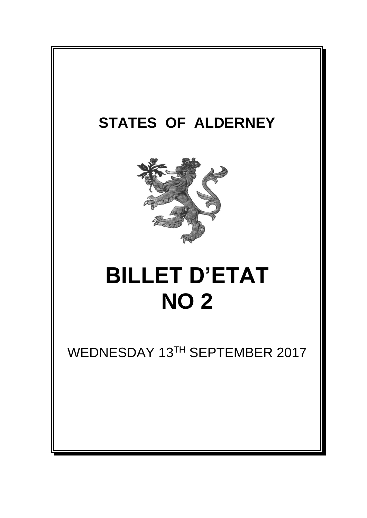